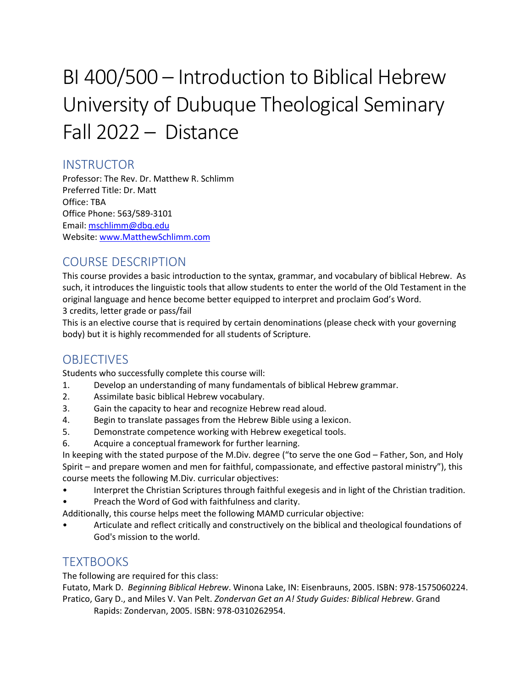# BI 400/500 – Introduction to Biblical Hebrew University of Dubuque Theological Seminary Fall 2022 – Distance

## **INSTRUCTOR**

Professor: The Rev. Dr. Matthew R. Schlimm Preferred Title: Dr. Matt Office: TBA Office Phone: 563/589-3101 Email: [mschlimm@dbq.edu](mailto:mschlimm@dbq.edu) Website[: www.MatthewSchlimm.com](http://www.matthewschlimm.com/)

## COURSE DESCRIPTION

This course provides a basic introduction to the syntax, grammar, and vocabulary of biblical Hebrew. As such, it introduces the linguistic tools that allow students to enter the world of the Old Testament in the original language and hence become better equipped to interpret and proclaim God's Word. 3 credits, letter grade or pass/fail

This is an elective course that is required by certain denominations (please check with your governing body) but it is highly recommended for all students of Scripture.

## **OBJECTIVES**

Students who successfully complete this course will:

- 1. Develop an understanding of many fundamentals of biblical Hebrew grammar.
- 2. Assimilate basic biblical Hebrew vocabulary.
- 3. Gain the capacity to hear and recognize Hebrew read aloud.
- 4. Begin to translate passages from the Hebrew Bible using a lexicon.
- 5. Demonstrate competence working with Hebrew exegetical tools.
- 6. Acquire a conceptual framework for further learning.

In keeping with the stated purpose of the M.Div. degree ("to serve the one God – Father, Son, and Holy Spirit – and prepare women and men for faithful, compassionate, and effective pastoral ministry"), this course meets the following M.Div. curricular objectives:

- Interpret the Christian Scriptures through faithful exegesis and in light of the Christian tradition.
- Preach the Word of God with faithfulness and clarity.
- Additionally, this course helps meet the following MAMD curricular objective:
- Articulate and reflect critically and constructively on the biblical and theological foundations of God's mission to the world.

### **TEXTBOOKS**

The following are required for this class:

Futato, Mark D. *Beginning Biblical Hebrew*. Winona Lake, IN: Eisenbrauns, 2005. ISBN: 978-1575060224. Pratico, Gary D., and Miles V. Van Pelt. *Zondervan Get an A! Study Guides: Biblical Hebrew*. Grand

Rapids: Zondervan, 2005. ISBN: 978-0310262954.